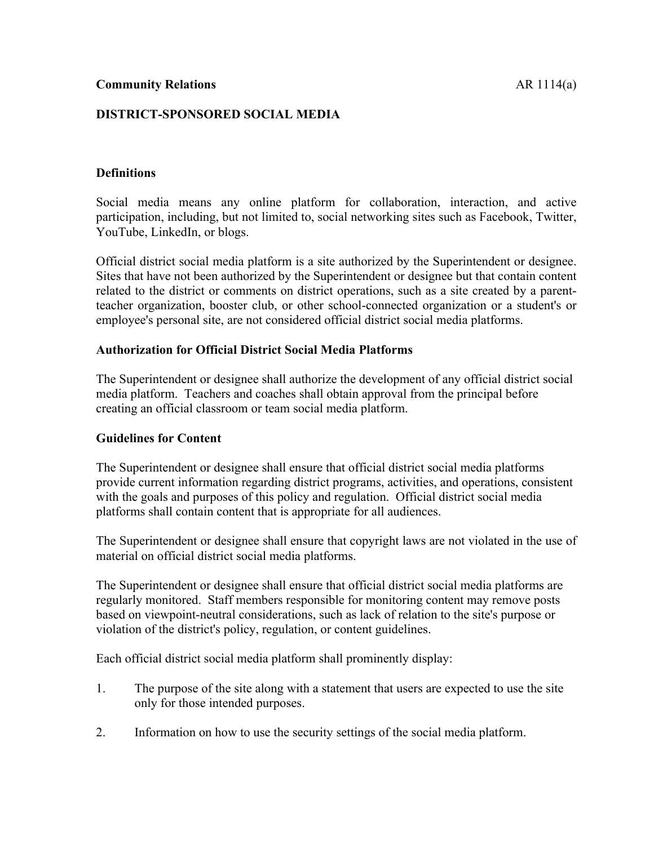# **DISTRICT-SPONSORED SOCIAL MEDIA**

## **Definitions**

Social media means any online platform for collaboration, interaction, and active participation, including, but not limited to, social networking sites such as Facebook, Twitter, YouTube, LinkedIn, or blogs.

Official district social media platform is a site authorized by the Superintendent or designee. Sites that have not been authorized by the Superintendent or designee but that contain content related to the district or comments on district operations, such as a site created by a parentteacher organization, booster club, or other school-connected organization or a student's or employee's personal site, are not considered official district social media platforms.

### **Authorization for Official District Social Media Platforms**

The Superintendent or designee shall authorize the development of any official district social media platform. Teachers and coaches shall obtain approval from the principal before creating an official classroom or team social media platform.

### **Guidelines for Content**

The Superintendent or designee shall ensure that official district social media platforms provide current information regarding district programs, activities, and operations, consistent with the goals and purposes of this policy and regulation. Official district social media platforms shall contain content that is appropriate for all audiences.

The Superintendent or designee shall ensure that copyright laws are not violated in the use of material on official district social media platforms.

The Superintendent or designee shall ensure that official district social media platforms are regularly monitored. Staff members responsible for monitoring content may remove posts based on viewpoint-neutral considerations, such as lack of relation to the site's purpose or violation of the district's policy, regulation, or content guidelines.

Each official district social media platform shall prominently display:

- 1. The purpose of the site along with a statement that users are expected to use the site only for those intended purposes.
- 2. Information on how to use the security settings of the social media platform.